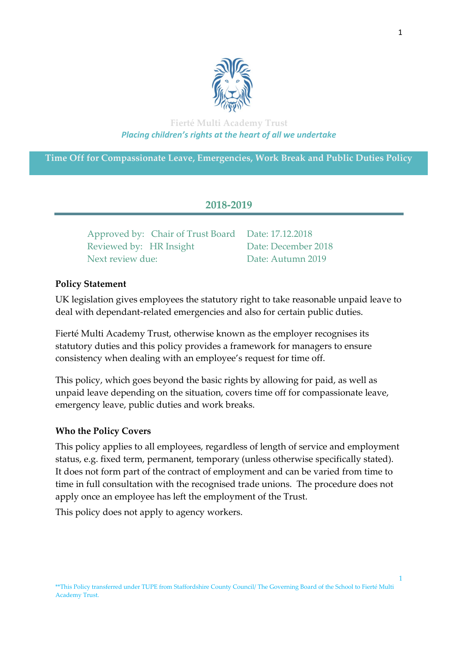

# **Fierté Multi Academy Trust** *Placing children's rights at the heart of all we undertake*

**Time Off for Compassionate Leave, Emergencies, Work Break and Public Duties Policy**

# **2018-2019**

Approved by: Chair of Trust Board Date: 17.12.2018 Reviewed by: HR Insight Date: December 2018 Next review due: Date: Autumn 2019

# **Policy Statement**

UK legislation gives employees the statutory right to take reasonable unpaid leave to deal with dependant-related emergencies and also for certain public duties.

Fierté Multi Academy Trust, otherwise known as the employer recognises its statutory duties and this policy provides a framework for managers to ensure consistency when dealing with an employee's request for time off.

This policy, which goes beyond the basic rights by allowing for paid, as well as unpaid leave depending on the situation, covers time off for compassionate leave, emergency leave, public duties and work breaks.

### **Who the Policy Covers**

This policy applies to all employees, regardless of length of service and employment status, e.g. fixed term, permanent, temporary (unless otherwise specifically stated). It does not form part of the contract of employment and can be varied from time to time in full consultation with the recognised trade unions. The procedure does not apply once an employee has left the employment of the Trust.

This policy does not apply to agency workers.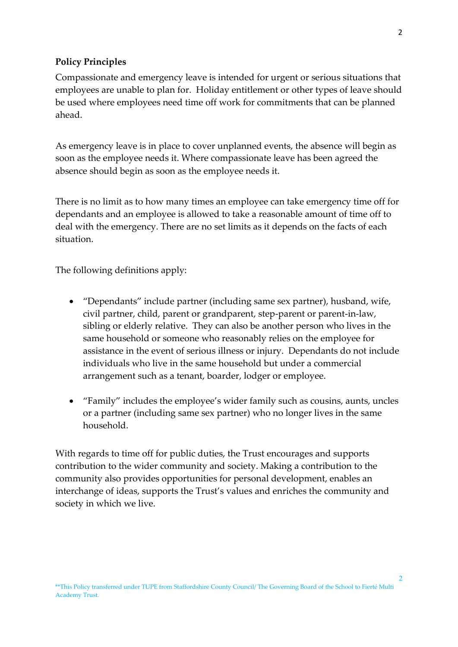#### **Policy Principles**

Compassionate and emergency leave is intended for urgent or serious situations that employees are unable to plan for. Holiday entitlement or other types of leave should be used where employees need time off work for commitments that can be planned ahead.

As emergency leave is in place to cover unplanned events, the absence will begin as soon as the employee needs it. Where compassionate leave has been agreed the absence should begin as soon as the employee needs it.

There is no limit as to how many times an employee can take emergency time off for dependants and an employee is allowed to take a reasonable amount of time off to deal with the emergency. There are no set limits as it depends on the facts of each situation.

The following definitions apply:

- "Dependants" include partner (including same sex partner), husband, wife, civil partner, child, parent or grandparent, step-parent or parent-in-law, sibling or elderly relative. They can also be another person who lives in the same household or someone who reasonably relies on the employee for assistance in the event of serious illness or injury. Dependants do not include individuals who live in the same household but under a commercial arrangement such as a tenant, boarder, lodger or employee.
- "Family" includes the employee's wider family such as cousins, aunts, uncles or a partner (including same sex partner) who no longer lives in the same household.

With regards to time off for public duties, the Trust encourages and supports contribution to the wider community and society. Making a contribution to the community also provides opportunities for personal development, enables an interchange of ideas, supports the Trust's values and enriches the community and society in which we live.

 $\overline{2}$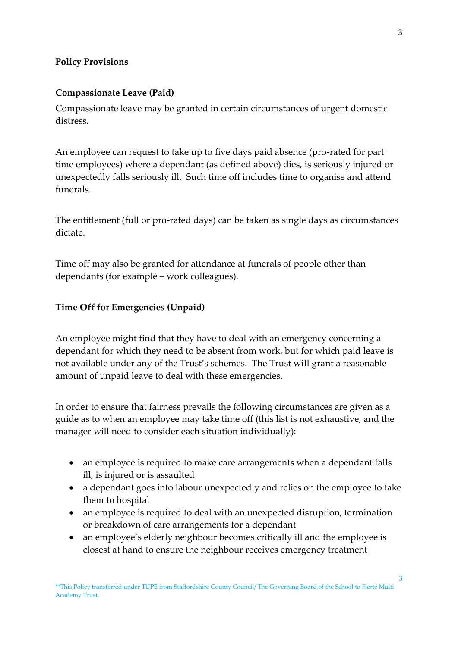### **Policy Provisions**

### **Compassionate Leave (Paid)**

Compassionate leave may be granted in certain circumstances of urgent domestic distress.

An employee can request to take up to five days paid absence (pro-rated for part time employees) where a dependant (as defined above) dies, is seriously injured or unexpectedly falls seriously ill. Such time off includes time to organise and attend funerals.

The entitlement (full or pro-rated days) can be taken as single days as circumstances dictate.

Time off may also be granted for attendance at funerals of people other than dependants (for example – work colleagues).

### **Time Off for Emergencies (Unpaid)**

An employee might find that they have to deal with an emergency concerning a dependant for which they need to be absent from work, but for which paid leave is not available under any of the Trust's schemes. The Trust will grant a reasonable amount of unpaid leave to deal with these emergencies.

In order to ensure that fairness prevails the following circumstances are given as a guide as to when an employee may take time off (this list is not exhaustive, and the manager will need to consider each situation individually):

- an employee is required to make care arrangements when a dependant falls ill, is injured or is assaulted
- a dependant goes into labour unexpectedly and relies on the employee to take them to hospital
- an employee is required to deal with an unexpected disruption, termination or breakdown of care arrangements for a dependant
- an employee's elderly neighbour becomes critically ill and the employee is closest at hand to ensure the neighbour receives emergency treatment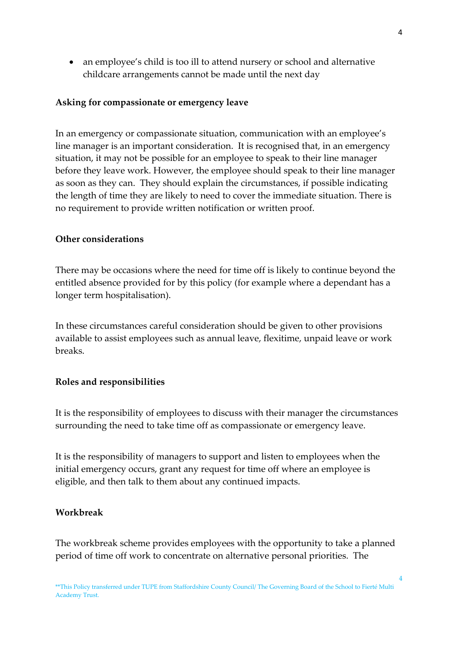an employee's child is too ill to attend nursery or school and alternative childcare arrangements cannot be made until the next day

#### **Asking for compassionate or emergency leave**

In an emergency or compassionate situation, communication with an employee's line manager is an important consideration. It is recognised that, in an emergency situation, it may not be possible for an employee to speak to their line manager before they leave work. However, the employee should speak to their line manager as soon as they can. They should explain the circumstances, if possible indicating the length of time they are likely to need to cover the immediate situation. There is no requirement to provide written notification or written proof.

#### **Other considerations**

There may be occasions where the need for time off is likely to continue beyond the entitled absence provided for by this policy (for example where a dependant has a longer term hospitalisation).

In these circumstances careful consideration should be given to other provisions available to assist employees such as annual leave, flexitime, unpaid leave or work breaks.

#### **Roles and responsibilities**

It is the responsibility of employees to discuss with their manager the circumstances surrounding the need to take time off as compassionate or emergency leave.

It is the responsibility of managers to support and listen to employees when the initial emergency occurs, grant any request for time off where an employee is eligible, and then talk to them about any continued impacts.

#### **Workbreak**

The workbreak scheme provides employees with the opportunity to take a planned period of time off work to concentrate on alternative personal priorities. The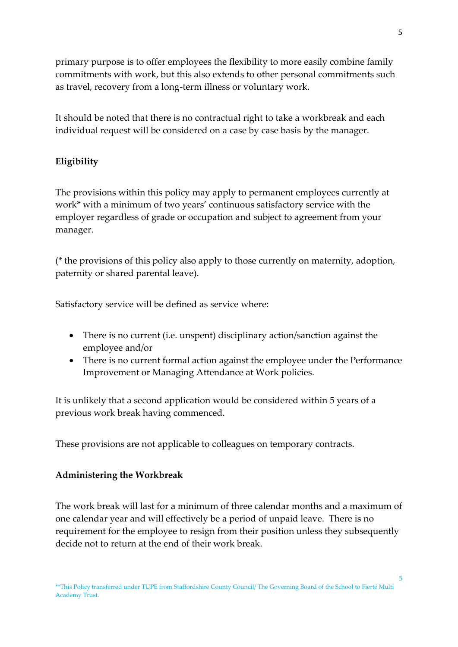primary purpose is to offer employees the flexibility to more easily combine family commitments with work, but this also extends to other personal commitments such as travel, recovery from a long-term illness or voluntary work.

It should be noted that there is no contractual right to take a workbreak and each individual request will be considered on a case by case basis by the manager.

# **Eligibility**

The provisions within this policy may apply to permanent employees currently at work\* with a minimum of two years' continuous satisfactory service with the employer regardless of grade or occupation and subject to agreement from your manager.

(\* the provisions of this policy also apply to those currently on maternity, adoption, paternity or shared parental leave).

Satisfactory service will be defined as service where:

- There is no current (i.e. unspent) disciplinary action/sanction against the employee and/or
- There is no current formal action against the employee under the Performance Improvement or Managing Attendance at Work policies.

It is unlikely that a second application would be considered within 5 years of a previous work break having commenced.

These provisions are not applicable to colleagues on temporary contracts.

# **Administering the Workbreak**

The work break will last for a minimum of three calendar months and a maximum of one calendar year and will effectively be a period of unpaid leave. There is no requirement for the employee to resign from their position unless they subsequently decide not to return at the end of their work break.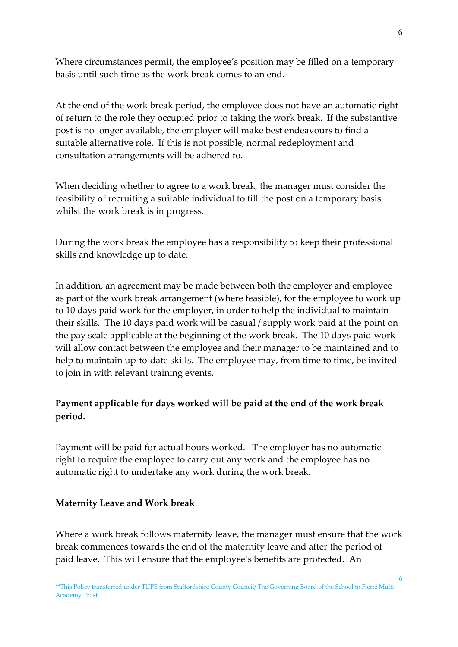Where circumstances permit, the employee's position may be filled on a temporary basis until such time as the work break comes to an end.

At the end of the work break period, the employee does not have an automatic right of return to the role they occupied prior to taking the work break. If the substantive post is no longer available, the employer will make best endeavours to find a suitable alternative role. If this is not possible, normal redeployment and consultation arrangements will be adhered to.

When deciding whether to agree to a work break, the manager must consider the feasibility of recruiting a suitable individual to fill the post on a temporary basis whilst the work break is in progress.

During the work break the employee has a responsibility to keep their professional skills and knowledge up to date.

In addition, an agreement may be made between both the employer and employee as part of the work break arrangement (where feasible), for the employee to work up to 10 days paid work for the employer, in order to help the individual to maintain their skills. The 10 days paid work will be casual / supply work paid at the point on the pay scale applicable at the beginning of the work break. The 10 days paid work will allow contact between the employee and their manager to be maintained and to help to maintain up-to-date skills. The employee may, from time to time, be invited to join in with relevant training events.

# **Payment applicable for days worked will be paid at the end of the work break period.**

Payment will be paid for actual hours worked. The employer has no automatic right to require the employee to carry out any work and the employee has no automatic right to undertake any work during the work break.

### **Maternity Leave and Work break**

Where a work break follows maternity leave, the manager must ensure that the work break commences towards the end of the maternity leave and after the period of paid leave. This will ensure that the employee's benefits are protected. An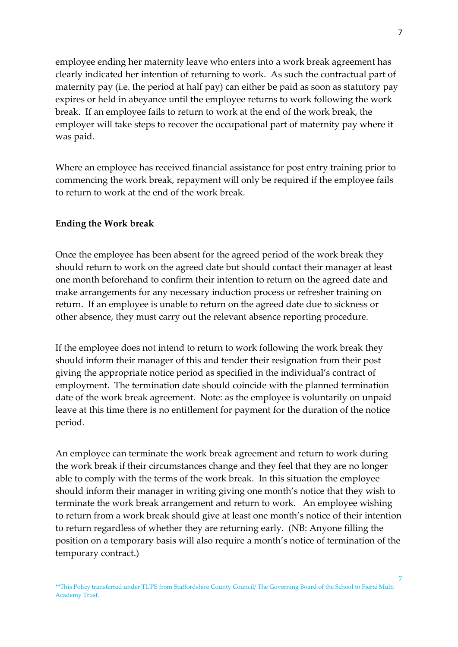employee ending her maternity leave who enters into a work break agreement has clearly indicated her intention of returning to work. As such the contractual part of maternity pay (i.e. the period at half pay) can either be paid as soon as statutory pay expires or held in abeyance until the employee returns to work following the work break. If an employee fails to return to work at the end of the work break, the employer will take steps to recover the occupational part of maternity pay where it was paid.

Where an employee has received financial assistance for post entry training prior to commencing the work break, repayment will only be required if the employee fails to return to work at the end of the work break.

#### **Ending the Work break**

Once the employee has been absent for the agreed period of the work break they should return to work on the agreed date but should contact their manager at least one month beforehand to confirm their intention to return on the agreed date and make arrangements for any necessary induction process or refresher training on return. If an employee is unable to return on the agreed date due to sickness or other absence, they must carry out the relevant absence reporting procedure.

If the employee does not intend to return to work following the work break they should inform their manager of this and tender their resignation from their post giving the appropriate notice period as specified in the individual's contract of employment. The termination date should coincide with the planned termination date of the work break agreement. Note: as the employee is voluntarily on unpaid leave at this time there is no entitlement for payment for the duration of the notice period.

An employee can terminate the work break agreement and return to work during the work break if their circumstances change and they feel that they are no longer able to comply with the terms of the work break. In this situation the employee should inform their manager in writing giving one month's notice that they wish to terminate the work break arrangement and return to work. An employee wishing to return from a work break should give at least one month's notice of their intention to return regardless of whether they are returning early. (NB: Anyone filling the position on a temporary basis will also require a month's notice of termination of the temporary contract.)

\*\*This Policy transferred under TUPE from Staffordshire County Council/ The Governing Board of the School to Fierté Multi Academy Trust.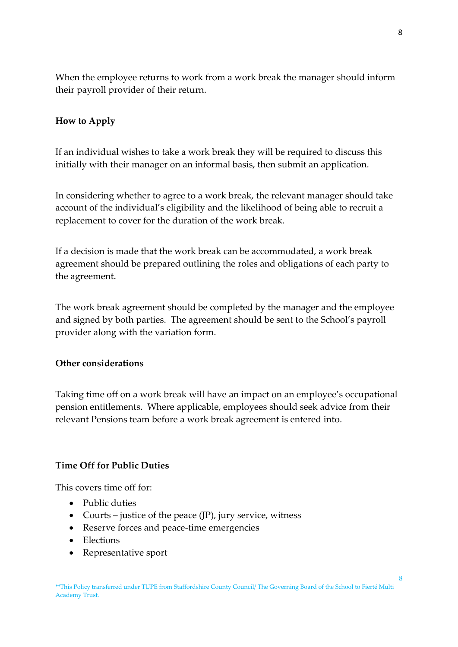When the employee returns to work from a work break the manager should inform their payroll provider of their return.

### **How to Apply**

If an individual wishes to take a work break they will be required to discuss this initially with their manager on an informal basis, then submit an application.

In considering whether to agree to a work break, the relevant manager should take account of the individual's eligibility and the likelihood of being able to recruit a replacement to cover for the duration of the work break.

If a decision is made that the work break can be accommodated, a work break agreement should be prepared outlining the roles and obligations of each party to the agreement.

The work break agreement should be completed by the manager and the employee and signed by both parties. The agreement should be sent to the School's payroll provider along with the variation form.

### **Other considerations**

Taking time off on a work break will have an impact on an employee's occupational pension entitlements. Where applicable, employees should seek advice from their relevant Pensions team before a work break agreement is entered into.

### **Time Off for Public Duties**

This covers time off for:

- Public duties
- Courts justice of the peace  $(JP)$ , jury service, witness
- Reserve forces and peace-time emergencies
- Elections
- Representative sport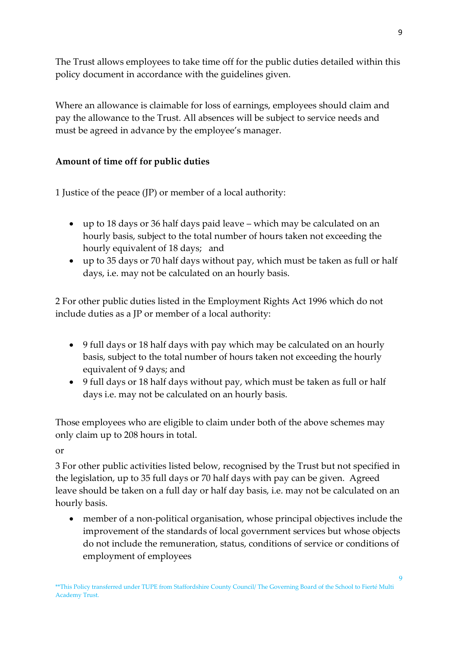The Trust allows employees to take time off for the public duties detailed within this policy document in accordance with the guidelines given.

Where an allowance is claimable for loss of earnings, employees should claim and pay the allowance to the Trust. All absences will be subject to service needs and must be agreed in advance by the employee's manager.

# **Amount of time off for public duties**

1 Justice of the peace (JP) or member of a local authority:

- up to 18 days or 36 half days paid leave which may be calculated on an hourly basis, subject to the total number of hours taken not exceeding the hourly equivalent of 18 days; and
- up to 35 days or 70 half days without pay, which must be taken as full or half days, i.e. may not be calculated on an hourly basis.

2 For other public duties listed in the Employment Rights Act 1996 which do not include duties as a JP or member of a local authority:

- 9 full days or 18 half days with pay which may be calculated on an hourly basis, subject to the total number of hours taken not exceeding the hourly equivalent of 9 days; and
- 9 full days or 18 half days without pay, which must be taken as full or half days i.e. may not be calculated on an hourly basis.

Those employees who are eligible to claim under both of the above schemes may only claim up to 208 hours in total.

or

3 For other public activities listed below, recognised by the Trust but not specified in the legislation, up to 35 full days or 70 half days with pay can be given. Agreed leave should be taken on a full day or half day basis, i.e. may not be calculated on an hourly basis.

 member of a non-political organisation, whose principal objectives include the improvement of the standards of local government services but whose objects do not include the remuneration, status, conditions of service or conditions of employment of employees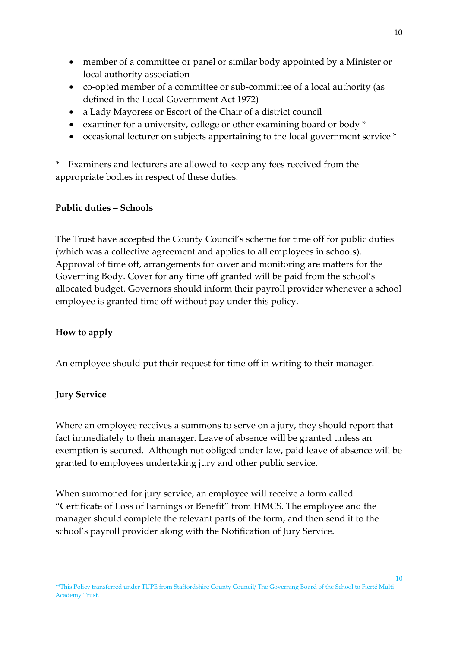- member of a committee or panel or similar body appointed by a Minister or local authority association
- co-opted member of a committee or sub-committee of a local authority (as defined in the Local Government Act 1972)
- a Lady Mayoress or Escort of the Chair of a district council
- examiner for a university, college or other examining board or body \*
- occasional lecturer on subjects appertaining to the local government service \*

\* Examiners and lecturers are allowed to keep any fees received from the appropriate bodies in respect of these duties.

### **Public duties – Schools**

The Trust have accepted the County Council's scheme for time off for public duties (which was a collective agreement and applies to all employees in schools). Approval of time off, arrangements for cover and monitoring are matters for the Governing Body. Cover for any time off granted will be paid from the school's allocated budget. Governors should inform their payroll provider whenever a school employee is granted time off without pay under this policy.

# **How to apply**

An employee should put their request for time off in writing to their manager.

# **Jury Service**

Where an employee receives a summons to serve on a jury, they should report that fact immediately to their manager. Leave of absence will be granted unless an exemption is secured. Although not obliged under law, paid leave of absence will be granted to employees undertaking jury and other public service.

When summoned for jury service, an employee will receive a form called "Certificate of Loss of Earnings or Benefit" from HMCS. The employee and the manager should complete the relevant parts of the form, and then send it to the school's payroll provider along with the Notification of Jury Service.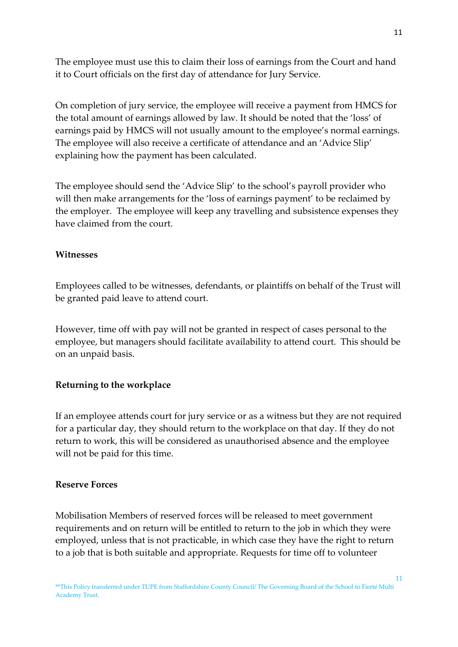The employee must use this to claim their loss of earnings from the Court and hand it to Court officials on the first day of attendance for Jury Service.

On completion of jury service, the employee will receive a payment from HMCS for the total amount of earnings allowed by law. It should be noted that the 'loss' of earnings paid by HMCS will not usually amount to the employee's normal earnings. The employee will also receive a certificate of attendance and an 'Advice Slip' explaining how the payment has been calculated.

The employee should send the 'Advice Slip' to the school's payroll provider who will then make arrangements for the 'loss of earnings payment' to be reclaimed by the employer. The employee will keep any travelling and subsistence expenses they have claimed from the court.

#### **Witnesses**

Employees called to be witnesses, defendants, or plaintiffs on behalf of the Trust will be granted paid leave to attend court.

However, time off with pay will not be granted in respect of cases personal to the employee, but managers should facilitate availability to attend court. This should be on an unpaid basis.

### **Returning to the workplace**

If an employee attends court for jury service or as a witness but they are not required for a particular day, they should return to the workplace on that day. If they do not return to work, this will be considered as unauthorised absence and the employee will not be paid for this time.

#### **Reserve Forces**

Mobilisation Members of reserved forces will be released to meet government requirements and on return will be entitled to return to the job in which they were employed, unless that is not practicable, in which case they have the right to return to a job that is both suitable and appropriate. Requests for time off to volunteer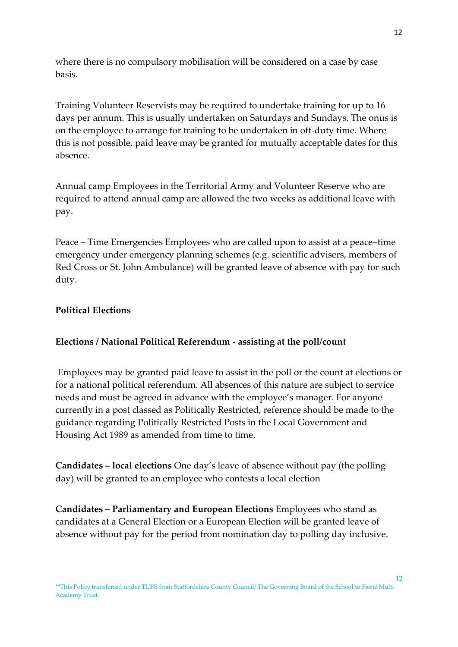where there is no compulsory mobilisation will be considered on a case by case basis.

Training Volunteer Reservists may be required to undertake training for up to 16 days per annum. This is usually undertaken on Saturdays and Sundays. The onus is on the employee to arrange for training to be undertaken in off-duty time. Where this is not possible, paid leave may be granted for mutually acceptable dates for this absence.

Annual camp Employees in the Territorial Army and Volunteer Reserve who are required to attend annual camp are allowed the two weeks as additional leave with pay.

Peace – Time Emergencies Employees who are called upon to assist at a peace–time emergency under emergency planning schemes (e.g. scientific advisers, members of Red Cross or St. John Ambulance) will be granted leave of absence with pay for such duty.

### **Political Elections**

### **Elections / National Political Referendum - assisting at the poll/count**

Employees may be granted paid leave to assist in the poll or the count at elections or for a national political referendum. All absences of this nature are subject to service needs and must be agreed in advance with the employee's manager. For anyone currently in a post classed as Politically Restricted, reference should be made to the guidance regarding Politically Restricted Posts in the Local Government and Housing Act 1989 as amended from time to time.

**Candidates – local elections** One day's leave of absence without pay (the polling day) will be granted to an employee who contests a local election

**Candidates – Parliamentary and European Elections** Employees who stand as candidates at a General Election or a European Election will be granted leave of absence without pay for the period from nomination day to polling day inclusive.